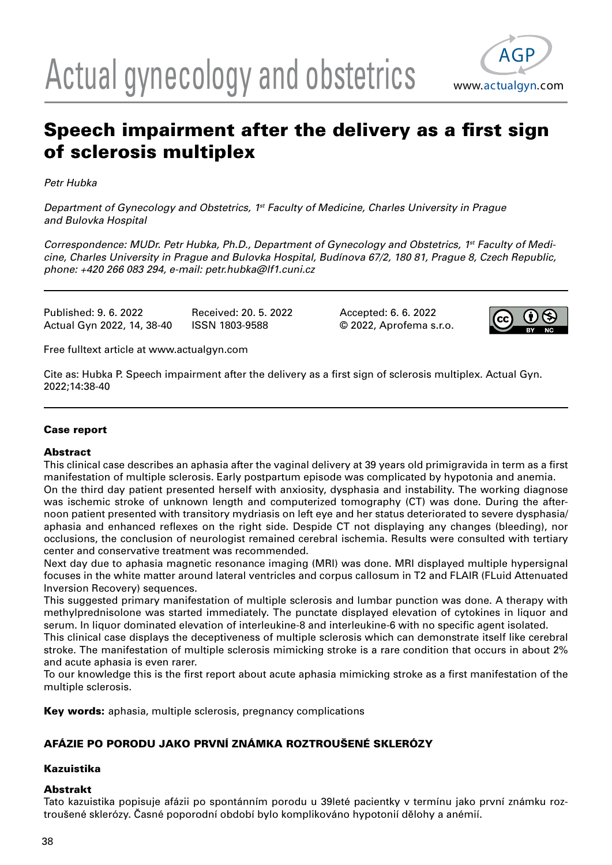# Actual gynecology and obstetrics www.actualgyn.com



## Speech impairment after the delivery as a first sign of sclerosis multiplex

Petr Hubka

Department of Gynecology and Obstetrics, 1<sup>st</sup> Faculty of Medicine, Charles University in Prague and Bulovka Hospital

Correspondence: MUDr. Petr Hubka, Ph.D., Department of Gynecology and Obstetrics, 1<sup>st</sup> Faculty of Medicine, Charles University in Prague and Bulovka Hospital, Budínova 67/2, 180 81, Prague 8, Czech Republic, phone: +420 266 083 294, e-mail: petr.hubka@lf1.cuni.cz

Published: 9. 6. 2022 Received: 20. 5. 2022 Accepted: 6. 6. 2022 Actual Gyn 2022, 14, 38-40 ISSN 1803-9588 © 2022, Aprofema s.r.o.



Free fulltext article at www.actualgyn.com

Cite as: Hubka P. Speech impairment after the delivery as a first sign of sclerosis multiplex. Actual Gyn. 2022;14:38-40

#### Case report

#### Abstract

This clinical case describes an aphasia after the vaginal delivery at 39 years old primigravida in term as a first manifestation of multiple sclerosis. Early postpartum episode was complicated by hypotonia and anemia. On the third day patient presented herself with anxiosity, dysphasia and instability. The working diagnose was ischemic stroke of unknown length and computerized tomography (CT) was done. During the afternoon patient presented with transitory mydriasis on left eye and her status deteriorated to severe dysphasia/ aphasia and enhanced reflexes on the right side. Despide CT not displaying any changes (bleeding), nor occlusions, the conclusion of neurologist remained cerebral ischemia. Results were consulted with tertiary

center and conservative treatment was recommended. Next day due to aphasia magnetic resonance imaging (MRI) was done. MRI displayed multiple hypersignal focuses in the white matter around lateral ventricles and corpus callosum in T2 and FLAIR (FLuid Attenuated Inversion Recovery) sequences.

This suggested primary manifestation of multiple sclerosis and lumbar punction was done. A therapy with methylprednisolone was started immediately. The punctate displayed elevation of cytokines in liquor and serum. In liquor dominated elevation of interleukine-8 and interleukine-6 with no specific agent isolated.

This clinical case displays the deceptiveness of multiple sclerosis which can demonstrate itself like cerebral stroke. The manifestation of multiple sclerosis mimicking stroke is a rare condition that occurs in about 2% and acute aphasia is even rarer.

To our knowledge this is the first report about acute aphasia mimicking stroke as a first manifestation of the multiple sclerosis.

Key words: aphasia, multiple sclerosis, pregnancy complications

### AFÁZIE PO PORODU JAKO PRVNÍ ZNÁMKA ROZTROUŠENÉ SKLERÓZY

#### Kazuistika

#### Abstrakt

Tato kazuistika popisuje afázii po spontánním porodu u 39leté pacientky v termínu jako první známku roztroušené sklerózy. Časné poporodní období bylo komplikováno hypotonií dělohy a anémií.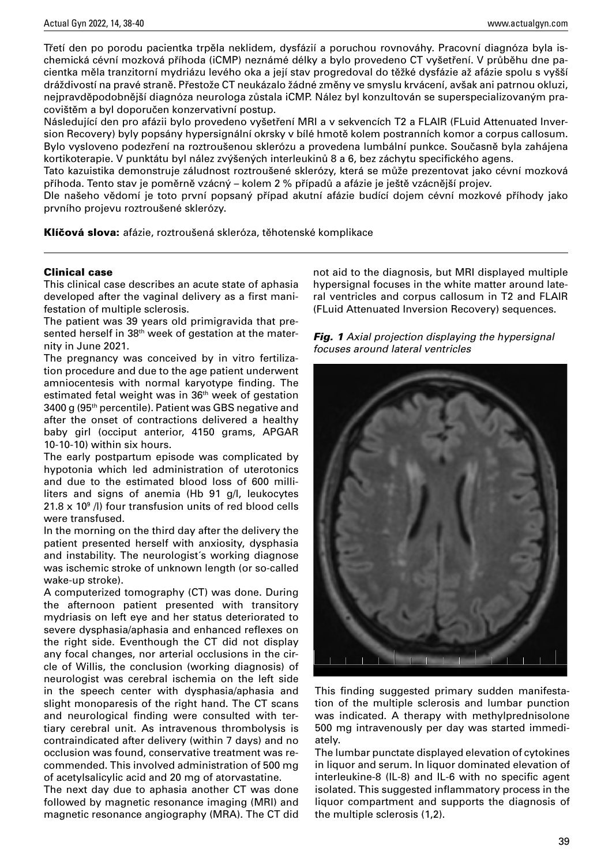Třetí den po porodu pacientka trpěla neklidem, dysfázií a poruchou rovnováhy. Pracovní diagnóza byla ischemická cévní mozková příhoda (iCMP) neznámé délky a bylo provedeno CT vyšetření. V průběhu dne pacientka měla tranzitorní mydriázu levého oka a její stav progredoval do těžké dysfázie až afázie spolu s vyšší dráždivostí na pravé straně. Přestože CT neukázalo žádné změny ve smyslu krvácení, avšak ani patrnou okluzi, nejpravděpodobnější diagnóza neurologa zůstala iCMP. Nález byl konzultován se superspecializovaným pracovištěm a byl doporučen konzervativní postup.

Následující den pro afázii bylo provedeno vyšetření MRI a v sekvencích T2 a FLAIR (FLuid Attenuated Inversion Recovery) byly popsány hypersignální okrsky v bílé hmotě kolem postranních komor a corpus callosum. Bylo vysloveno podezření na roztroušenou sklerózu a provedena lumbální punkce. Současně byla zahájena kortikoterapie. V punktátu byl nález zvýšených interleukinů 8 a 6, bez záchytu specifického agens.

Tato kazuistika demonstruje záludnost roztroušené sklerózy, která se může prezentovat jako cévní mozková příhoda. Tento stav je poměrně vzácný – kolem 2 % případů a afázie je ještě vzácnější projev.

Dle našeho vědomí je toto první popsaný případ akutní afázie budící dojem cévní mozkové příhody jako prvního projevu roztroušené sklerózy.

Klíčová slova: afázie, roztroušená skleróza, těhotenské komplikace

#### Clinical case

This clinical case describes an acute state of aphasia developed after the vaginal delivery as a first manifestation of multiple sclerosis.

The patient was 39 years old primigravida that presented herself in 38<sup>th</sup> week of gestation at the maternity in June 2021.

The pregnancy was conceived by in vitro fertilization procedure and due to the age patient underwent amniocentesis with normal karyotype finding. The estimated fetal weight was in 36<sup>th</sup> week of gestation 3400 g (95th percentile). Patient was GBS negative and after the onset of contractions delivered a healthy baby girl (occiput anterior, 4150 grams, APGAR 10-10-10) within six hours.

The early postpartum episode was complicated by hypotonia which led administration of uterotonics and due to the estimated blood loss of 600 milliliters and signs of anemia (Hb 91 g/l, leukocytes 21.8 x 10<sup>9</sup> /l) four transfusion units of red blood cells were transfused.

In the morning on the third day after the delivery the patient presented herself with anxiosity, dysphasia and instability. The neurologist´s working diagnose was ischemic stroke of unknown length (or so-called wake-up stroke).

A computerized tomography (CT) was done. During the afternoon patient presented with transitory mydriasis on left eye and her status deteriorated to severe dysphasia/aphasia and enhanced reflexes on the right side. Eventhough the CT did not display any focal changes, nor arterial occlusions in the circle of Willis, the conclusion (working diagnosis) of neurologist was cerebral ischemia on the left side in the speech center with dysphasia/aphasia and slight monoparesis of the right hand. The CT scans and neurological finding were consulted with tertiary cerebral unit. As intravenous thrombolysis is contraindicated after delivery (within 7 days) and no occlusion was found, conservative treatment was recommended. This involved administration of 500 mg of acetylsalicylic acid and 20 mg of atorvastatine.

The next day due to aphasia another CT was done followed by magnetic resonance imaging (MRI) and magnetic resonance angiography (MRA). The CT did not aid to the diagnosis, but MRI displayed multiple hypersignal focuses in the white matter around lateral ventricles and corpus callosum in T2 and FLAIR (FLuid Attenuated Inversion Recovery) sequences.

|  |                                   | <b>Fig. 1</b> Axial projection displaying the hypersignal |
|--|-----------------------------------|-----------------------------------------------------------|
|  | focuses around lateral ventricles |                                                           |



This finding suggested primary sudden manifestation of the multiple sclerosis and lumbar punction was indicated. A therapy with methylprednisolone 500 mg intravenously per day was started immediately.

The lumbar punctate displayed elevation of cytokines in liquor and serum. In liquor dominated elevation of interleukine-8 (IL-8) and IL-6 with no specific agent isolated. This suggested inflammatory process in the liquor compartment and supports the diagnosis of the multiple sclerosis (1,2).